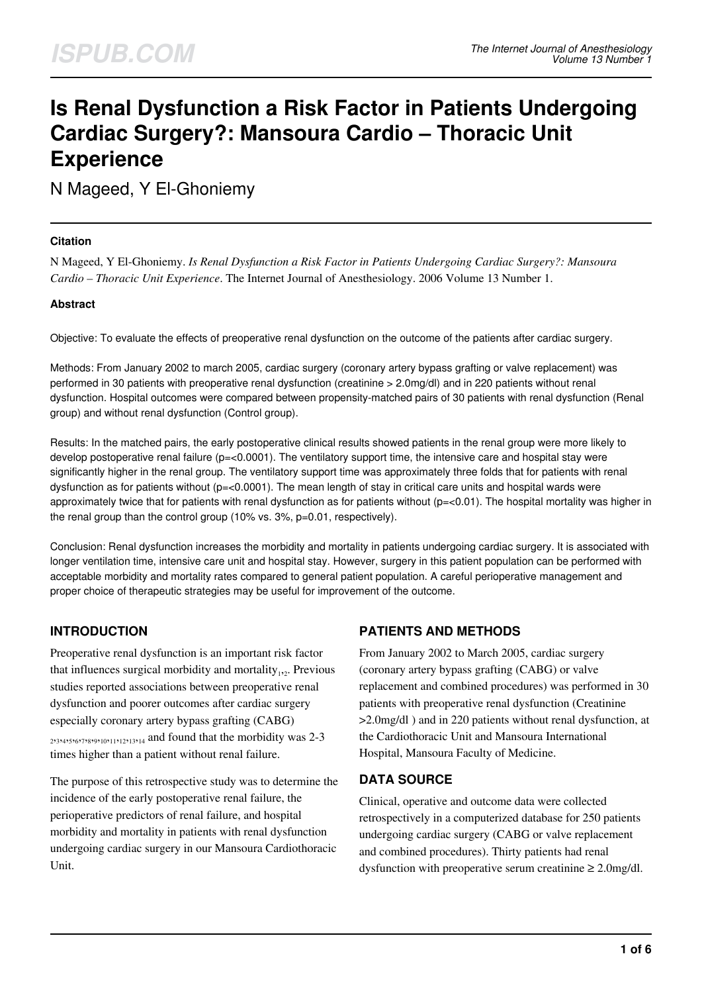# **Is Renal Dysfunction a Risk Factor in Patients Undergoing Cardiac Surgery?: Mansoura Cardio – Thoracic Unit Experience**

N Mageed, Y El-Ghoniemy

#### **Citation**

N Mageed, Y El-Ghoniemy. *Is Renal Dysfunction a Risk Factor in Patients Undergoing Cardiac Surgery?: Mansoura Cardio – Thoracic Unit Experience*. The Internet Journal of Anesthesiology. 2006 Volume 13 Number 1.

#### **Abstract**

Objective: To evaluate the effects of preoperative renal dysfunction on the outcome of the patients after cardiac surgery.

Methods: From January 2002 to march 2005, cardiac surgery (coronary artery bypass grafting or valve replacement) was performed in 30 patients with preoperative renal dysfunction (creatinine > 2.0mg/dl) and in 220 patients without renal dysfunction. Hospital outcomes were compared between propensity-matched pairs of 30 patients with renal dysfunction (Renal group) and without renal dysfunction (Control group).

Results: In the matched pairs, the early postoperative clinical results showed patients in the renal group were more likely to develop postoperative renal failure ( $p=<0.0001$ ). The ventilatory support time, the intensive care and hospital stay were significantly higher in the renal group. The ventilatory support time was approximately three folds that for patients with renal dysfunction as for patients without ( $p = 0.0001$ ). The mean length of stay in critical care units and hospital wards were approximately twice that for patients with renal dysfunction as for patients without  $(p=<0.01)$ . The hospital mortality was higher in the renal group than the control group (10% vs. 3%, p=0.01, respectively).

Conclusion: Renal dysfunction increases the morbidity and mortality in patients undergoing cardiac surgery. It is associated with longer ventilation time, intensive care unit and hospital stay. However, surgery in this patient population can be performed with acceptable morbidity and mortality rates compared to general patient population. A careful perioperative management and proper choice of therapeutic strategies may be useful for improvement of the outcome.

## **INTRODUCTION**

Preoperative renal dysfunction is an important risk factor that influences surgical morbidity and mortality $_{1,2}$ . Previous studies reported associations between preoperative renal dysfunction and poorer outcomes after cardiac surgery especially coronary artery bypass grafting (CABG)  $2,33,435,637,8391031131231314$  and found that the morbidity was 2-3 times higher than a patient without renal failure.

The purpose of this retrospective study was to determine the incidence of the early postoperative renal failure, the perioperative predictors of renal failure, and hospital morbidity and mortality in patients with renal dysfunction undergoing cardiac surgery in our Mansoura Cardiothoracic Unit.

## **PATIENTS AND METHODS**

From January 2002 to March 2005, cardiac surgery (coronary artery bypass grafting (CABG) or valve replacement and combined procedures) was performed in 30 patients with preoperative renal dysfunction (Creatinine >2.0mg/dl ) and in 220 patients without renal dysfunction, at the Cardiothoracic Unit and Mansoura International Hospital, Mansoura Faculty of Medicine.

## **DATA SOURCE**

Clinical, operative and outcome data were collected retrospectively in a computerized database for 250 patients undergoing cardiac surgery (CABG or valve replacement and combined procedures). Thirty patients had renal dysfunction with preoperative serum creatinine  $\geq 2.0$ mg/dl.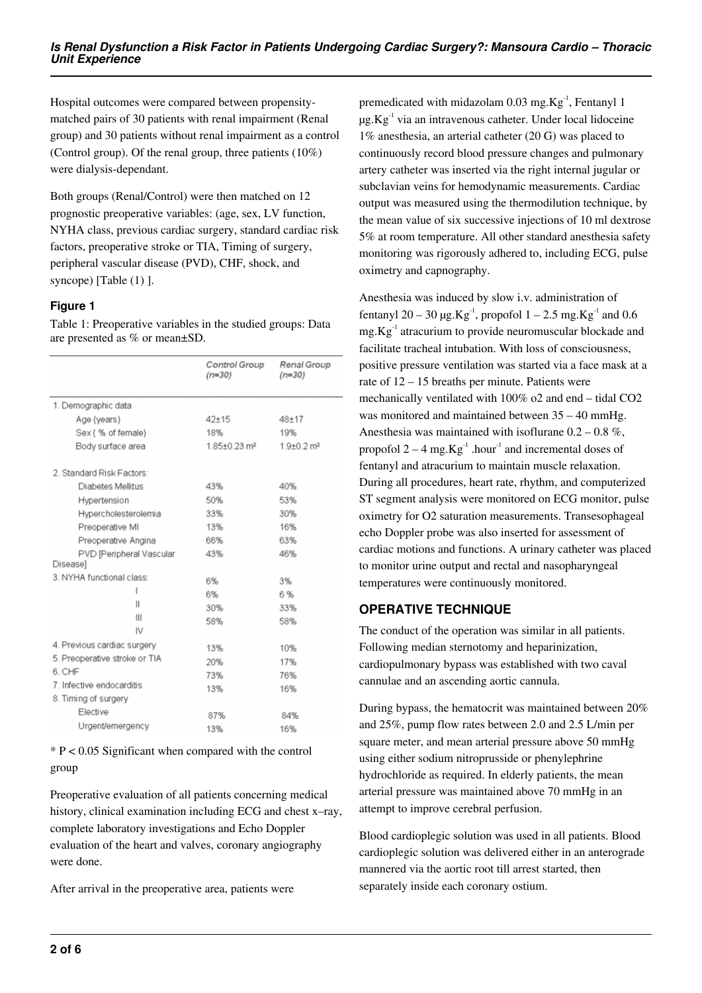Hospital outcomes were compared between propensitymatched pairs of 30 patients with renal impairment (Renal group) and 30 patients without renal impairment as a control (Control group). Of the renal group, three patients (10%) were dialysis-dependant.

Both groups (Renal/Control) were then matched on 12 prognostic preoperative variables: (age, sex, LV function, NYHA class, previous cardiac surgery, standard cardiac risk factors, preoperative stroke or TIA, Timing of surgery, peripheral vascular disease (PVD), CHF, shock, and syncope) [Table (1) ].

#### **Figure 1**

Table 1: Preoperative variables in the studied groups: Data are presented as % or mean±SD.

|                                             | Control Group<br>$(n=30)$ | Renal Group<br>$(n=30)$      |
|---------------------------------------------|---------------------------|------------------------------|
| 1. Demographic data                         |                           |                              |
| Age (years)                                 | $42 + 15$                 | $48 + 17$                    |
| Sex (% of female)                           | 18%                       | 19%                          |
| Body surface area                           | 1.85±0.23 m <sup>2</sup>  | $1.9{\pm}0.2$ m <sup>2</sup> |
| 2. Standard Risk Factors:                   |                           |                              |
| Diabetes Mellitus                           | 43%                       | 40%                          |
| Hypertension                                | 50%                       | 53%                          |
| Hypercholesterolemia                        | 33%                       | 30%                          |
| Preoperative MI                             | 13%                       | 16%                          |
| Preoperative Angina                         | 66%                       | 63%                          |
| PVD [Peripheral Vascular<br><b>Diseasel</b> | 43%                       | 46%                          |
| 3. NYHA functional class:                   | 6%                        | 3%                           |
|                                             | 6%                        | 6%                           |
| Ш                                           | 30%                       | 33%                          |
| Ш                                           | 58%                       | 58%                          |
| IV                                          |                           |                              |
| 4. Previous cardiac surgery                 | 13%                       | 10%                          |
| 5. Preoperative stroke or TIA               | 20%                       | 17%                          |
| 6. CHF                                      | 73%                       | 76%                          |
| 7. Infective endocarditis                   | 13%                       | 16%                          |
| 8. Timing of surgery                        |                           |                              |
| Elective                                    | 87%                       | 84%                          |
| Urgent/emergency                            | 13%                       | 16%                          |

\* P < 0.05 Significant when compared with the control group

Preoperative evaluation of all patients concerning medical history, clinical examination including ECG and chest x–ray, complete laboratory investigations and Echo Doppler evaluation of the heart and valves, coronary angiography were done.

After arrival in the preoperative area, patients were

premedicated with midazolam  $0.03$  mg.Kg<sup>-1</sup>, Fentanyl 1  $\mu$ g.Kg $^{-1}$  via an intravenous catheter. Under local lidoceine 1% anesthesia, an arterial catheter (20 G) was placed to continuously record blood pressure changes and pulmonary artery catheter was inserted via the right internal jugular or subclavian veins for hemodynamic measurements. Cardiac output was measured using the thermodilution technique, by the mean value of six successive injections of 10 ml dextrose 5% at room temperature. All other standard anesthesia safety monitoring was rigorously adhered to, including ECG, pulse oximetry and capnography.

Anesthesia was induced by slow i.v. administration of fentanyl 20 – 30  $\mu$ g.Kg<sup>-1</sup>, propofol 1 – 2.5 mg.Kg<sup>-1</sup> and 0.6  $mg.Kg^{-1}$  atracurium to provide neuromuscular blockade and facilitate tracheal intubation. With loss of consciousness, positive pressure ventilation was started via a face mask at a rate of 12 – 15 breaths per minute. Patients were mechanically ventilated with 100% o2 and end – tidal CO2 was monitored and maintained between 35 – 40 mmHg. Anesthesia was maintained with isoflurane  $0.2 - 0.8 \%$ , propofol  $2 - 4$  mg.Kg<sup>-1</sup> .hour<sup>-1</sup> and incremental doses of fentanyl and atracurium to maintain muscle relaxation. During all procedures, heart rate, rhythm, and computerized ST segment analysis were monitored on ECG monitor, pulse oximetry for O2 saturation measurements. Transesophageal echo Doppler probe was also inserted for assessment of cardiac motions and functions. A urinary catheter was placed to monitor urine output and rectal and nasopharyngeal temperatures were continuously monitored.

## **OPERATIVE TECHNIQUE**

The conduct of the operation was similar in all patients. Following median sternotomy and heparinization, cardiopulmonary bypass was established with two caval cannulae and an ascending aortic cannula.

During bypass, the hematocrit was maintained between 20% and 25%, pump flow rates between 2.0 and 2.5 L/min per square meter, and mean arterial pressure above 50 mmHg using either sodium nitroprusside or phenylephrine hydrochloride as required. In elderly patients, the mean arterial pressure was maintained above 70 mmHg in an attempt to improve cerebral perfusion.

Blood cardioplegic solution was used in all patients. Blood cardioplegic solution was delivered either in an anterograde mannered via the aortic root till arrest started, then separately inside each coronary ostium.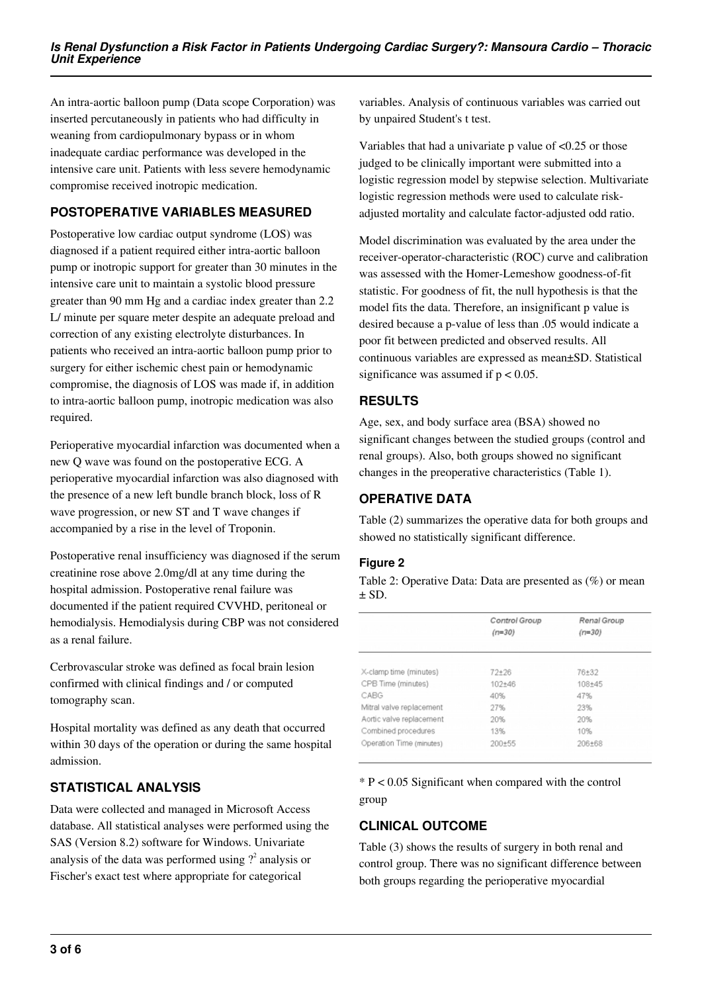An intra-aortic balloon pump (Data scope Corporation) was inserted percutaneously in patients who had difficulty in weaning from cardiopulmonary bypass or in whom inadequate cardiac performance was developed in the intensive care unit. Patients with less severe hemodynamic compromise received inotropic medication.

## **POSTOPERATIVE VARIABLES MEASURED**

Postoperative low cardiac output syndrome (LOS) was diagnosed if a patient required either intra-aortic balloon pump or inotropic support for greater than 30 minutes in the intensive care unit to maintain a systolic blood pressure greater than 90 mm Hg and a cardiac index greater than 2.2 L/ minute per square meter despite an adequate preload and correction of any existing electrolyte disturbances. In patients who received an intra-aortic balloon pump prior to surgery for either ischemic chest pain or hemodynamic compromise, the diagnosis of LOS was made if, in addition to intra-aortic balloon pump, inotropic medication was also required.

Perioperative myocardial infarction was documented when a new Q wave was found on the postoperative ECG. A perioperative myocardial infarction was also diagnosed with the presence of a new left bundle branch block, loss of R wave progression, or new ST and T wave changes if accompanied by a rise in the level of Troponin.

Postoperative renal insufficiency was diagnosed if the serum creatinine rose above 2.0mg/dl at any time during the hospital admission. Postoperative renal failure was documented if the patient required CVVHD, peritoneal or hemodialysis. Hemodialysis during CBP was not considered as a renal failure.

Cerbrovascular stroke was defined as focal brain lesion confirmed with clinical findings and / or computed tomography scan.

Hospital mortality was defined as any death that occurred within 30 days of the operation or during the same hospital admission.

## **STATISTICAL ANALYSIS**

Data were collected and managed in Microsoft Access database. All statistical analyses were performed using the SAS (Version 8.2) software for Windows. Univariate analysis of the data was performed using  $?^{2}$  analysis or Fischer's exact test where appropriate for categorical

variables. Analysis of continuous variables was carried out by unpaired Student's t test.

Variables that had a univariate p value of <0.25 or those judged to be clinically important were submitted into a logistic regression model by stepwise selection. Multivariate logistic regression methods were used to calculate riskadjusted mortality and calculate factor-adjusted odd ratio.

Model discrimination was evaluated by the area under the receiver-operator-characteristic (ROC) curve and calibration was assessed with the Homer-Lemeshow goodness-of-fit statistic. For goodness of fit, the null hypothesis is that the model fits the data. Therefore, an insignificant p value is desired because a p-value of less than .05 would indicate a poor fit between predicted and observed results. All continuous variables are expressed as mean±SD. Statistical significance was assumed if  $p < 0.05$ .

## **RESULTS**

Age, sex, and body surface area (BSA) showed no significant changes between the studied groups (control and renal groups). Also, both groups showed no significant changes in the preoperative characteristics (Table 1).

## **OPERATIVE DATA**

Table (2) summarizes the operative data for both groups and showed no statistically significant difference.

## **Figure 2**

Table 2: Operative Data: Data are presented as (%) or mean  $\pm$  SD.

|                          | Control Group<br>$(n=30)$ | Renal Group<br>$(n=30)$ |
|--------------------------|---------------------------|-------------------------|
| X-clamp time (minutes)   | $72 + 26$                 | 76+32                   |
| CPB Time (minutes)       | $102 + 46$                | $108 + 45$              |
| CABG                     | 40%                       | 47%                     |
| Mitral valve replacement | 27%                       | 23%                     |
| Aortic valve replacement | 20%                       | 20%                     |
| Combined procedures      | 13%                       | 10%                     |
| Operation Time (minutes) | $200 + 55$                | 206+68                  |

 $*$  P < 0.05 Significant when compared with the control group

## **CLINICAL OUTCOME**

Table (3) shows the results of surgery in both renal and control group. There was no significant difference between both groups regarding the perioperative myocardial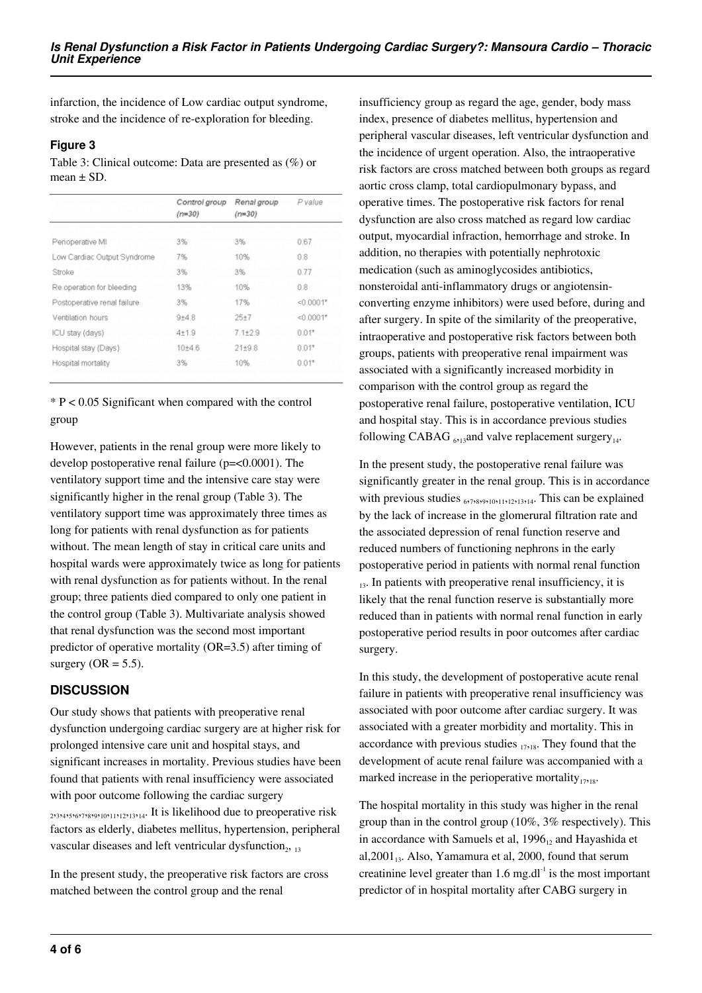infarction, the incidence of Low cardiac output syndrome, stroke and the incidence of re-exploration for bleeding.

#### **Figure 3**

Table 3: Clinical outcome: Data are presented as (%) or mean  $\pm$  SD.

|                             | Control group<br>$(n=30)$ | Renal group<br>$(n=30)$ | P value     |
|-----------------------------|---------------------------|-------------------------|-------------|
|                             |                           |                         |             |
| Perioperative MI            | 3%                        | 3%                      | 0.67        |
| Low Cardiac Output Syndrome | 7%                        | 10%                     | 0.8         |
| Stroke                      | 3%                        | 3%                      | 0.77        |
| Re operation for bleeding   | 13%                       | 10%                     | 0.8         |
| Postoperative renal failure | 3%                        | 17%                     | $< 0.0001*$ |
| Ventilation hours           | $9 + 4.8$                 | $25 + 7$                | $< 0.0001*$ |
| ICU stay (days)             | $4 + 1.9$                 | $71+29$                 | $0.01*$     |
| Hospital stay (Days)        | $10 + 4.6$                | $21 + 9.8$              | $0.01*$     |
| Hospital mortality          | 3%                        | 10%                     | $0.01*$     |
|                             |                           |                         |             |

\* P < 0.05 Significant when compared with the control group

However, patients in the renal group were more likely to develop postoperative renal failure (p=<0.0001). The ventilatory support time and the intensive care stay were significantly higher in the renal group (Table 3). The ventilatory support time was approximately three times as long for patients with renal dysfunction as for patients without. The mean length of stay in critical care units and hospital wards were approximately twice as long for patients with renal dysfunction as for patients without. In the renal group; three patients died compared to only one patient in the control group (Table 3). Multivariate analysis showed that renal dysfunction was the second most important predictor of operative mortality (OR=3.5) after timing of surgery ( $OR = 5.5$ ).

#### **DISCUSSION**

Our study shows that patients with preoperative renal dysfunction undergoing cardiac surgery are at higher risk for prolonged intensive care unit and hospital stays, and significant increases in mortality. Previous studies have been found that patients with renal insufficiency were associated with poor outcome following the cardiac surgery 2,3,4,5,6,7,8,9,10,11,12,13,14. It is likelihood due to preoperative risk factors as elderly, diabetes mellitus, hypertension, peripheral vascular diseases and left ventricular dysfunction $_{2,13}$ 

In the present study, the preoperative risk factors are cross matched between the control group and the renal

insufficiency group as regard the age, gender, body mass index, presence of diabetes mellitus, hypertension and peripheral vascular diseases, left ventricular dysfunction and the incidence of urgent operation. Also, the intraoperative risk factors are cross matched between both groups as regard aortic cross clamp, total cardiopulmonary bypass, and operative times. The postoperative risk factors for renal dysfunction are also cross matched as regard low cardiac output, myocardial infraction, hemorrhage and stroke. In addition, no therapies with potentially nephrotoxic medication (such as aminoglycosides antibiotics, nonsteroidal anti-inflammatory drugs or angiotensinconverting enzyme inhibitors) were used before, during and after surgery. In spite of the similarity of the preoperative, intraoperative and postoperative risk factors between both groups, patients with preoperative renal impairment was associated with a significantly increased morbidity in comparison with the control group as regard the postoperative renal failure, postoperative ventilation, ICU and hospital stay. This is in accordance previous studies following CABAG  $_{6,13}$ and valve replacement surgery<sub>14</sub>.

In the present study, the postoperative renal failure was significantly greater in the renal group. This is in accordance with previous studies  $_{677829101112121314}$ . This can be explained by the lack of increase in the glomerural filtration rate and the associated depression of renal function reserve and reduced numbers of functioning nephrons in the early postoperative period in patients with normal renal function  $_{13}$ . In patients with preoperative renal insufficiency, it is likely that the renal function reserve is substantially more reduced than in patients with normal renal function in early postoperative period results in poor outcomes after cardiac surgery.

In this study, the development of postoperative acute renal failure in patients with preoperative renal insufficiency was associated with poor outcome after cardiac surgery. It was associated with a greater morbidity and mortality. This in accordance with previous studies  $_{17,18}$ . They found that the development of acute renal failure was accompanied with a marked increase in the perioperative mortality $_{17,18}$ .

The hospital mortality in this study was higher in the renal group than in the control group (10%, 3% respectively). This in accordance with Samuels et al,  $1996<sub>12</sub>$  and Hayashida et al,  $2001_{13}$ . Also, Yamamura et al,  $2000$ , found that serum creatinine level greater than  $1.6 \text{ mg.dl}^{-1}$  is the most important predictor of in hospital mortality after CABG surgery in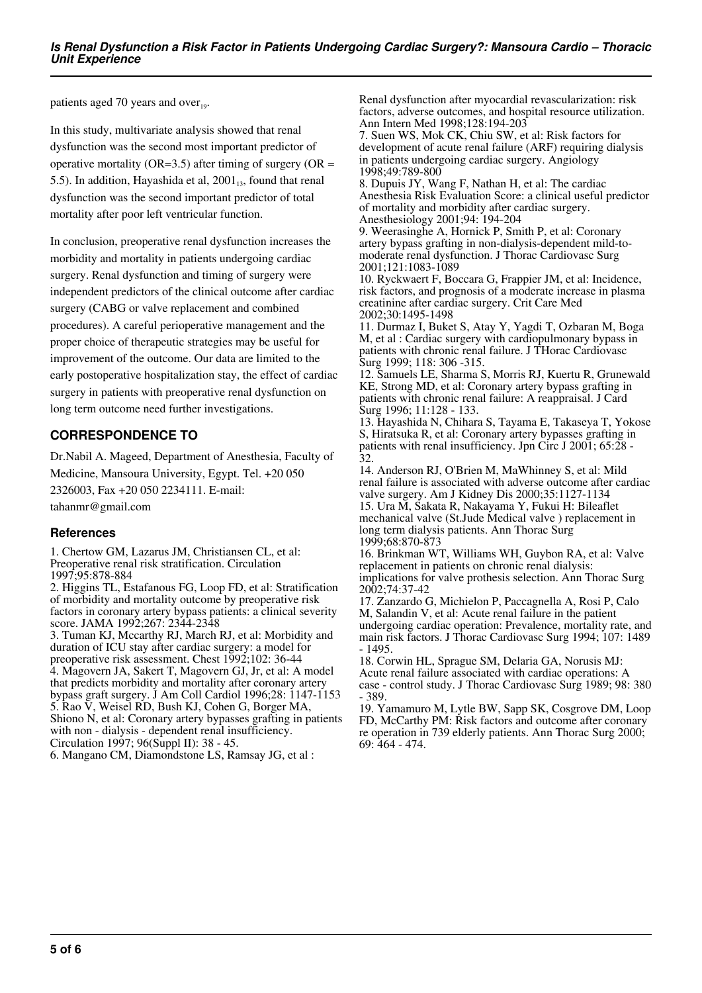patients aged 70 years and over $_{19}$ .

In this study, multivariate analysis showed that renal dysfunction was the second most important predictor of operative mortality ( $OR=3.5$ ) after timing of surgery ( $OR =$ 5.5). In addition, Hayashida et al,  $2001_{13}$ , found that renal dysfunction was the second important predictor of total mortality after poor left ventricular function.

In conclusion, preoperative renal dysfunction increases the morbidity and mortality in patients undergoing cardiac surgery. Renal dysfunction and timing of surgery were independent predictors of the clinical outcome after cardiac surgery (CABG or valve replacement and combined procedures). A careful perioperative management and the proper choice of therapeutic strategies may be useful for improvement of the outcome. Our data are limited to the early postoperative hospitalization stay, the effect of cardiac surgery in patients with preoperative renal dysfunction on long term outcome need further investigations.

## **CORRESPONDENCE TO**

Dr.Nabil A. Mageed, Department of Anesthesia, Faculty of Medicine, Mansoura University, Egypt. Tel. +20 050 2326003, Fax +20 050 2234111. E-mail: tahanmr@gmail.com

#### **References**

1. Chertow GM, Lazarus JM, Christiansen CL, et al: Preoperative renal risk stratification. Circulation 1997;95:878-884

2. Higgins TL, Estafanous FG, Loop FD, et al: Stratification of morbidity and mortality outcome by preoperative risk factors in coronary artery bypass patients: a clinical severity score. JAMA 1992;267: 2344-2348 3. Tuman KJ, Mccarthy RJ, March RJ, et al: Morbidity and

duration of ICU stay after cardiac surgery: a model for preoperative risk assessment. Chest 1992;102: 36-44 4. Magovern JA, Sakert T, Magovern GJ, Jr, et al: A model that predicts morbidity and mortality after coronary artery bypass graft surgery. J Am Coll Cardiol 1996;28: 1147-1153 5. Rao V, Weisel RD, Bush KJ, Cohen G, Borger MA, Shiono N, et al: Coronary artery bypasses grafting in patients with non - dialysis - dependent renal insufficiency. Circulation 1997; 96(Suppl II): 38 - 45.

6. Mangano CM, Diamondstone LS, Ramsay JG, et al :

Renal dysfunction after myocardial revascularization: risk factors, adverse outcomes, and hospital resource utilization. Ann Intern Med 1998;128:194-203

7. Suen WS, Mok CK, Chiu SW, et al: Risk factors for development of acute renal failure (ARF) requiring dialysis in patients undergoing cardiac surgery. Angiology 1998;49:789-800

8. Dupuis JY, Wang F, Nathan H, et al: The cardiac Anesthesia Risk Evaluation Score: a clinical useful predictor of mortality and morbidity after cardiac surgery. Anesthesiology 2001;94: 194-204

9. Weerasinghe A, Hornick P, Smith P, et al: Coronary artery bypass grafting in non-dialysis-dependent mild-tomoderate renal dysfunction. J Thorac Cardiovasc Surg 2001;121:1083-1089

10. Ryckwaert F, Boccara G, Frappier JM, et al: Incidence, risk factors, and prognosis of a moderate increase in plasma creatinine after cardiac surgery. Crit Care Med 2002;30:1495-1498

11. Durmaz I, Buket S, Atay Y, Yagdi T, Ozbaran M, Boga M, et al : Cardiac surgery with cardiopulmonary bypass in patients with chronic renal failure. J THorac Cardiovasc Surg 1999; 118: 306 -315.

12. Samuels LE, Sharma S, Morris RJ, Kuertu R, Grunewald KE, Strong MD, et al: Coronary artery bypass grafting in patients with chronic renal failure: A reappraisal. J Card Surg 1996; 11:128 - 133.

13. Hayashida N, Chihara S, Tayama E, Takaseya T, Yokose S, Hiratsuka R, et al: Coronary artery bypasses grafting in patients with renal insufficiency. Jpn Circ J 2001; 65:28 - 32.

14. Anderson RJ, O'Brien M, MaWhinney S, et al: Mild renal failure is associated with adverse outcome after cardiac valve surgery. Am J Kidney Dis 2000;35:1127-1134 15. Ura M, Sakata R, Nakayama Y, Fukui H: Bileaflet mechanical valve (St.Jude Medical valve ) replacement in long term dialysis patients. Ann Thorac Surg 1999;68:870-873

16. Brinkman WT, Williams WH, Guybon RA, et al: Valve replacement in patients on chronic renal dialysis: implications for valve prothesis selection. Ann Thorac Surg

2002;74:37-42 17. Zanzardo G, Michielon P, Paccagnella A, Rosi P, Calo M, Salandin V, et al: Acute renal failure in the patient undergoing cardiac operation: Prevalence, mortality rate, and main risk factors. J Thorac Cardiovasc Surg 1994; 107: 1489 - 1495.

18. Corwin HL, Sprague SM, Delaria GA, Norusis MJ: Acute renal failure associated with cardiac operations: A case - control study. J Thorac Cardiovasc Surg 1989; 98: 380 - 389.

19. Yamamuro M, Lytle BW, Sapp SK, Cosgrove DM, Loop FD, McCarthy PM: Risk factors and outcome after coronary re operation in 739 elderly patients. Ann Thorac Surg 2000; 69: 464 - 474.